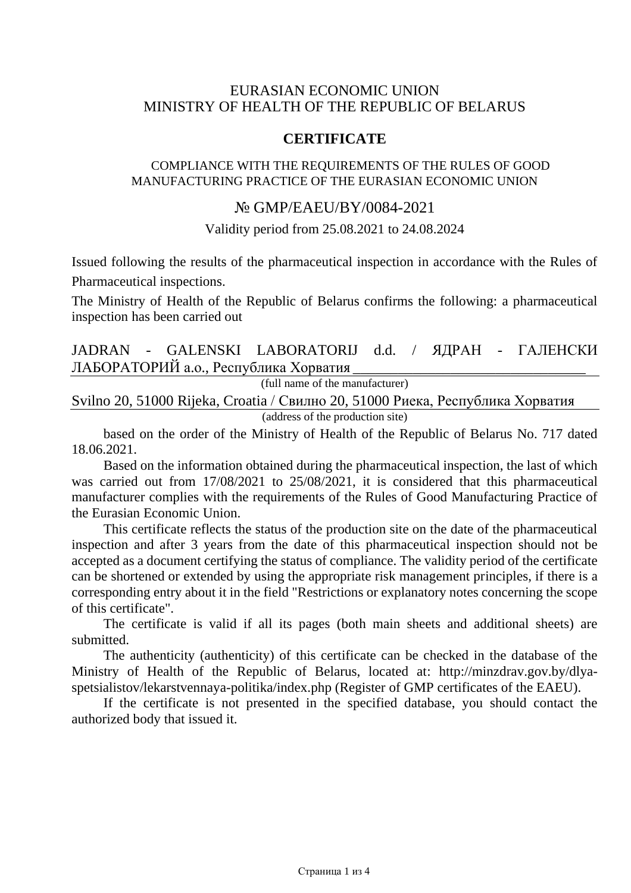## EURASIAN ECONOMIC UNION MINISTRY OF HEALTH OF THE REPUBLIC OF BELARUS

## **CERTIFICATE**

### COMPLIANCE WITH THE REQUIREMENTS OF THE RULES OF GOOD MANUFACTURING PRACTICE OF THE EURASIAN ECONOMIC UNION

## № GMP/EAEU/BY/0084-2021

Validity period from 25.08.2021 to 24.08.2024

Issued following the results of the pharmaceutical inspection in accordance with the Rules of Pharmaceutical inspections.

The Ministry of Health of the Republic of Belarus confirms the following: a pharmaceutical inspection has been carried out

## JADRAN - GALENSKI LABORATORIJ d.d. / ЯДРАН - ГАЛЕНСКИ ЛАБОРАТОРИЙ а.о., Республика Хорватия

(full name of the manufacturer)

Svilno 20, 51000 Rijeka, Croatia / Свилно 20, 51000 Риека, Республика Хорватия

(address of the production site)

based on the order of the Ministry of Health of the Republic of Belarus No. 717 dated 18.06.2021.

Based on the information obtained during the pharmaceutical inspection, the last of which was carried out from 17/08/2021 to 25/08/2021, it is considered that this pharmaceutical manufacturer complies with the requirements of the Rules of Good Manufacturing Practice of the Eurasian Economic Union.

This certificate reflects the status of the production site on the date of the pharmaceutical inspection and after 3 years from the date of this pharmaceutical inspection should not be accepted as a document certifying the status of compliance. The validity period of the certificate can be shortened or extended by using the appropriate risk management principles, if there is a corresponding entry about it in the field "Restrictions or explanatory notes concerning the scope of this certificate".

The certificate is valid if all its pages (both main sheets and additional sheets) are submitted.

The authenticity (authenticity) of this certificate can be checked in the database of the Ministry of Health of the Republic of Belarus, located at: [http://minzdrav.gov.by/dlya](http://minzdrav.gov.by/dlya-spetsialistov/lekarstvennaya-politika/index.php)[spetsialistov/lekarstvennaya-politika/index.php](http://minzdrav.gov.by/dlya-spetsialistov/lekarstvennaya-politika/index.php) (Register of GMP certificates of the EAEU).

If the certificate is not presented in the specified database, you should contact the authorized body that issued it.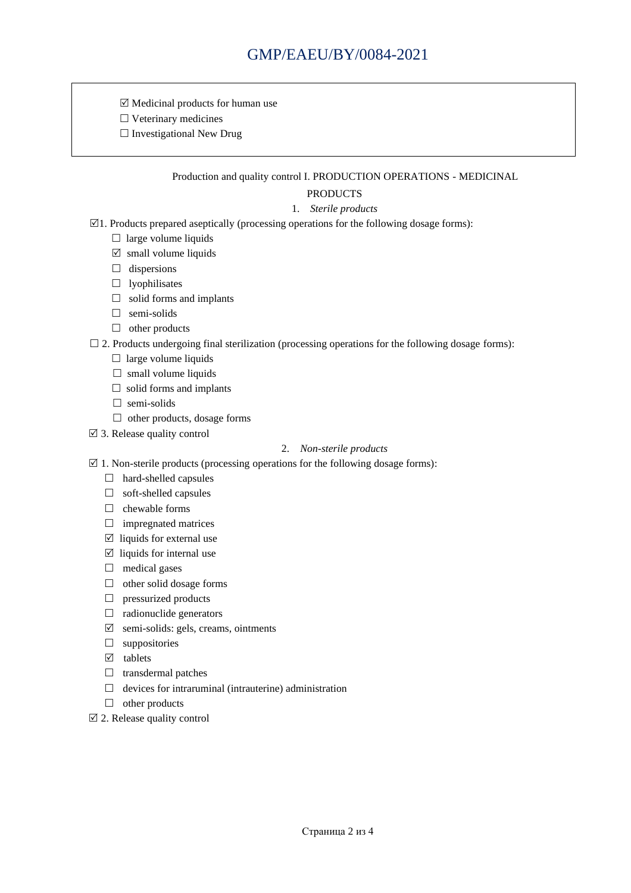$\boxtimes$  Medicinal products for human use

 $\square$  Veterinary medicines

 $\Box$  Investigational New Drug

#### Production and quality control I. PRODUCTION OPERATIONS - MEDICINAL

### PRODUCTS

- 1. *Sterile products*
- $\boxtimes$ 1. Products prepared aseptically (processing operations for the following dosage forms):
	- $\Box$  large volume liquids
	- $\boxtimes$  small volume liquids
	- $\Box$  dispersions
	- $\Box$  lyophilisates
	- $\Box$  solid forms and implants
	- $\Box$  semi-solids
	- □ other products
- $\Box$  2. Products undergoing final sterilization (processing operations for the following dosage forms):
	- $\Box$  large volume liquids
	- $\Box$  small volume liquids
	- $\Box$  solid forms and implants
	- □ semi-solids
	- $\Box$  other products, dosage forms
- $\boxtimes$  3. Release quality control

#### 2. *Non-sterile products*

- $\boxtimes$  1. Non-sterile products (processing operations for the following dosage forms):
	- □ hard-shelled capsules
	- □ soft-shelled capsules
	- $\Box$  chewable forms
	- $\Box$  impregnated matrices
	- $\boxtimes$  liquids for external use
	- $\boxtimes$  liquids for internal use
	- $\Box$  medical gases
	- $\Box$  other solid dosage forms
	- $\Box$  pressurized products
	- $\Box$  radionuclide generators
	- $\boxtimes$  semi-solids: gels, creams, ointments
	- $\square$  suppositories
	- $\boxtimes$  tablets
	- $\Box$  transdermal patches
	- $\Box$  devices for intraruminal (intrauterine) administration
	- $\Box$  other products
- $\boxtimes$  2. Release quality control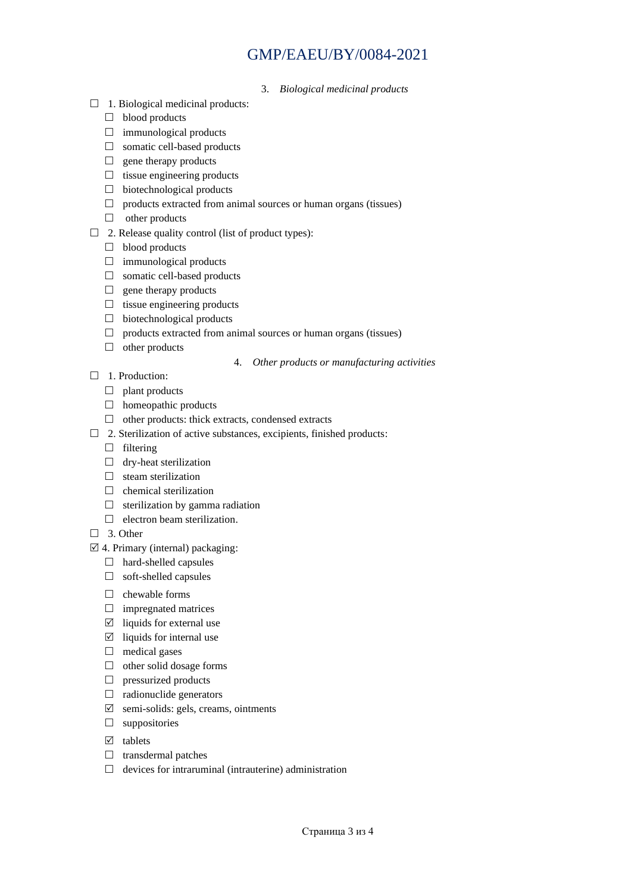# GMP/EAEU/BY/0084-2021

- 3. *Biological medicinal products*
- $\Box$  1. Biological medicinal products:
	- $\Box$  blood products
	- $\Box$  immunological products
	- □ somatic cell-based products
	- $\Box$  gene therapy products
	- $\Box$  tissue engineering products
	- $\Box$  biotechnological products
	- $\Box$  products extracted from animal sources or human organs (tissues)
	- other products
- $\Box$  2. Release quality control (list of product types):
	- $\Box$  blood products
	- $\Box$  immunological products
	- □ somatic cell-based products
	- $\Box$  gene therapy products
	- $\Box$  tissue engineering products
	- $\Box$  biotechnological products
	- $\Box$  products extracted from animal sources or human organs (tissues)
	- $\Box$  other products
- 4. *Other products or manufacturing activities*
- □ 1. Production:
	- $\Box$  plant products
	- $\Box$  homeopathic products
	- $\Box$  other products: thick extracts, condensed extracts
- $\Box$  2. Sterilization of active substances, excipients, finished products:
	- $\Box$  filtering
	- $\Box$  dry-heat sterilization
	- $\Box$  steam sterilization
	- $\Box$  chemical sterilization
	- $\Box$  sterilization by gamma radiation
	- $\Box$  electron beam sterilization.
- $\Box$  3. Other
- $\boxtimes$  4. Primary (internal) packaging:
	- □ hard-shelled capsules
	- $\Box$  soft-shelled capsules
	- $\Box$  chewable forms
	- $\Box$  impregnated matrices
	- $\boxtimes$  liquids for external use
	- $\boxtimes$  liquids for internal use
	- $\Box$  medical gases
	- $\Box$  other solid dosage forms
	- $\Box$  pressurized products
	- $\Box$  radionuclide generators
	- $\boxtimes$  semi-solids: gels, creams, ointments
	- $\square$  suppositories
	- $\boxtimes$  tablets
	- $\Box$  transdermal patches
	- $\Box$  devices for intraruminal (intrauterine) administration